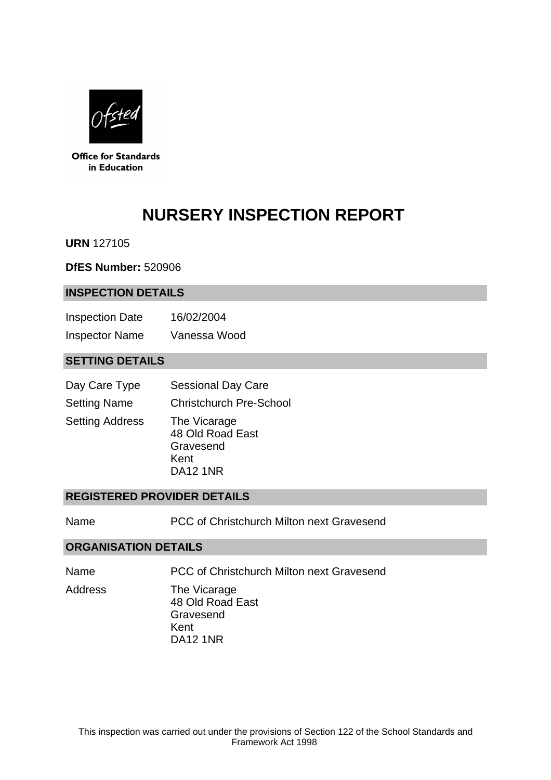

**Office for Standards** in Education

# **NURSERY INSPECTION REPORT**

**URN** 127105

**DfES Number:** 520906

#### **INSPECTION DETAILS**

| <b>Inspection Date</b> | 16/02/2004   |
|------------------------|--------------|
| <b>Inspector Name</b>  | Vanessa Wood |

## **SETTING DETAILS**

| Day Care Type          | <b>Sessional Day Care</b>                                                |
|------------------------|--------------------------------------------------------------------------|
| <b>Setting Name</b>    | <b>Christchurch Pre-School</b>                                           |
| <b>Setting Address</b> | The Vicarage<br>48 Old Road East<br>Gravesend<br>Kent<br><b>DA12 1NR</b> |

### **REGISTERED PROVIDER DETAILS**

Name PCC of Christchurch Milton next Gravesend

#### **ORGANISATION DETAILS**

Name PCC of Christchurch Milton next Gravesend

Address The Vicarage 48 Old Road East Gravesend Kent DA12 1NR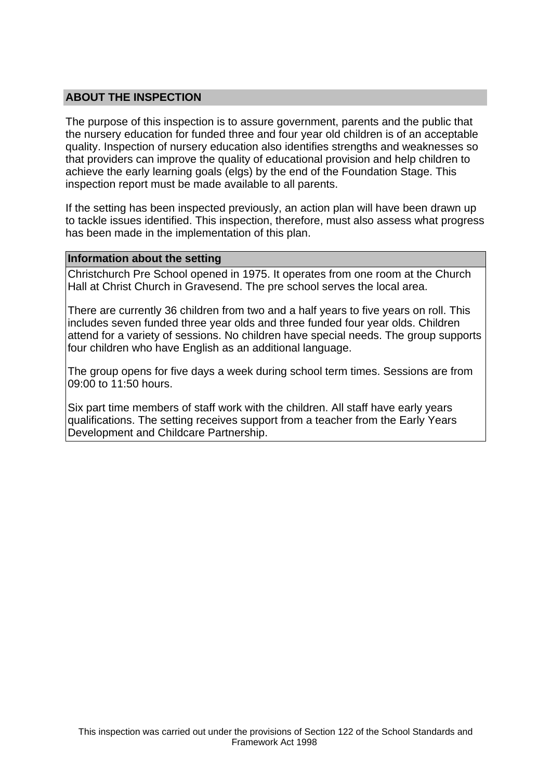## **ABOUT THE INSPECTION**

The purpose of this inspection is to assure government, parents and the public that the nursery education for funded three and four year old children is of an acceptable quality. Inspection of nursery education also identifies strengths and weaknesses so that providers can improve the quality of educational provision and help children to achieve the early learning goals (elgs) by the end of the Foundation Stage. This inspection report must be made available to all parents.

If the setting has been inspected previously, an action plan will have been drawn up to tackle issues identified. This inspection, therefore, must also assess what progress has been made in the implementation of this plan.

#### **Information about the setting**

Christchurch Pre School opened in 1975. It operates from one room at the Church Hall at Christ Church in Gravesend. The pre school serves the local area.

There are currently 36 children from two and a half years to five years on roll. This includes seven funded three year olds and three funded four year olds. Children attend for a variety of sessions. No children have special needs. The group supports four children who have English as an additional language.

The group opens for five days a week during school term times. Sessions are from 09:00 to 11:50 hours.

Six part time members of staff work with the children. All staff have early years qualifications. The setting receives support from a teacher from the Early Years Development and Childcare Partnership.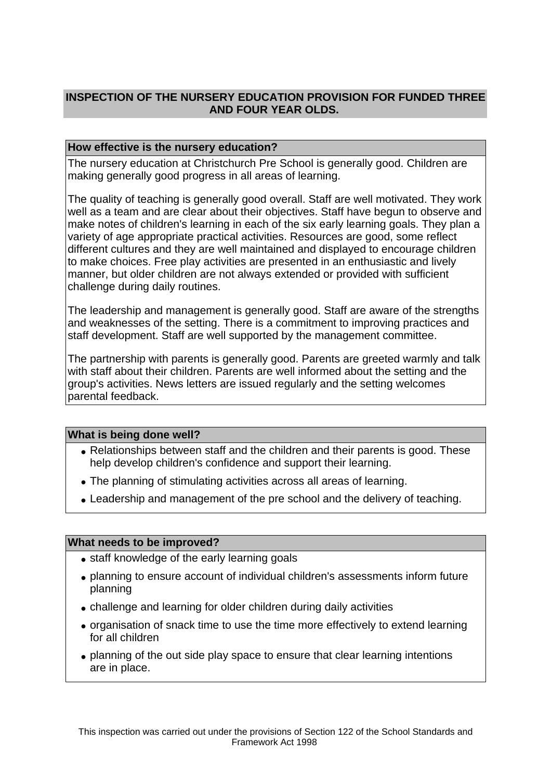## **INSPECTION OF THE NURSERY EDUCATION PROVISION FOR FUNDED THREE AND FOUR YEAR OLDS.**

### **How effective is the nursery education?**

The nursery education at Christchurch Pre School is generally good. Children are making generally good progress in all areas of learning.

The quality of teaching is generally good overall. Staff are well motivated. They work well as a team and are clear about their objectives. Staff have begun to observe and make notes of children's learning in each of the six early learning goals. They plan a variety of age appropriate practical activities. Resources are good, some reflect different cultures and they are well maintained and displayed to encourage children to make choices. Free play activities are presented in an enthusiastic and lively manner, but older children are not always extended or provided with sufficient challenge during daily routines.

The leadership and management is generally good. Staff are aware of the strengths and weaknesses of the setting. There is a commitment to improving practices and staff development. Staff are well supported by the management committee.

The partnership with parents is generally good. Parents are greeted warmly and talk with staff about their children. Parents are well informed about the setting and the group's activities. News letters are issued regularly and the setting welcomes parental feedback.

#### **What is being done well?**

- Relationships between staff and the children and their parents is good. These help develop children's confidence and support their learning.
- The planning of stimulating activities across all areas of learning.
- Leadership and management of the pre school and the delivery of teaching.

#### **What needs to be improved?**

- staff knowledge of the early learning goals
- planning to ensure account of individual children's assessments inform future planning
- challenge and learning for older children during daily activities
- organisation of snack time to use the time more effectively to extend learning for all children
- planning of the out side play space to ensure that clear learning intentions are in place.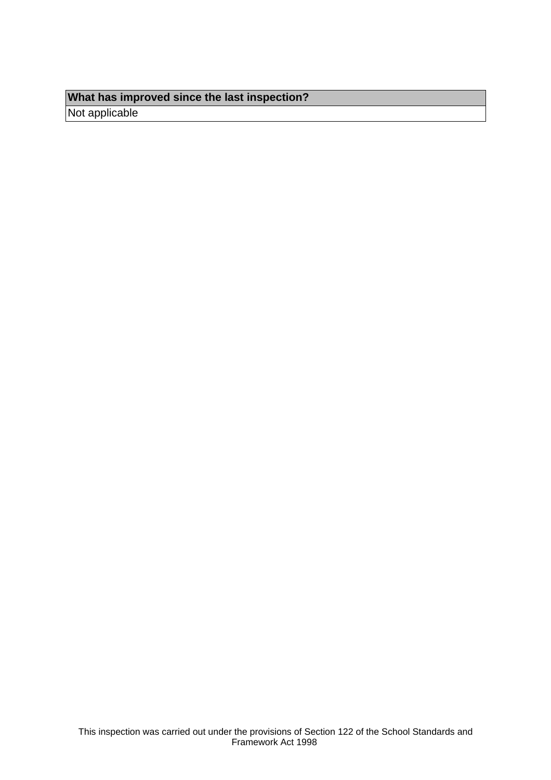## **What has improved since the last inspection?**

Not applicable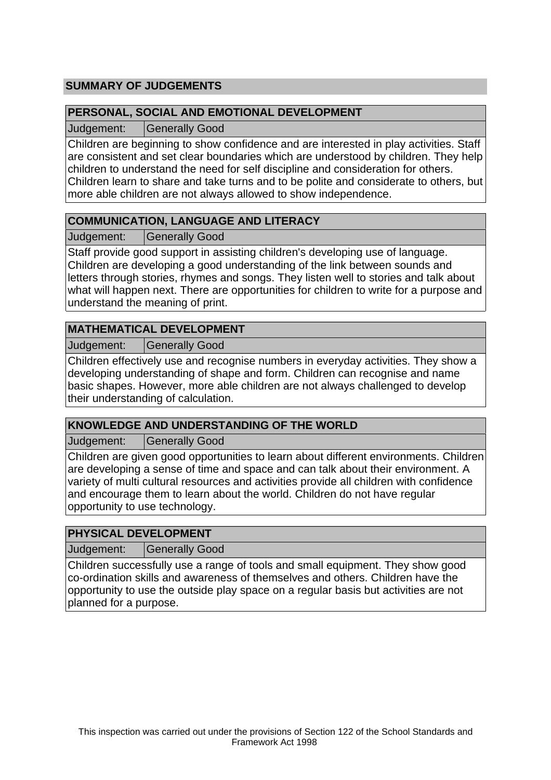## **SUMMARY OF JUDGEMENTS**

## **PERSONAL, SOCIAL AND EMOTIONAL DEVELOPMENT**

Judgement: Generally Good

Children are beginning to show confidence and are interested in play activities. Staff are consistent and set clear boundaries which are understood by children. They help children to understand the need for self discipline and consideration for others. Children learn to share and take turns and to be polite and considerate to others, but more able children are not always allowed to show independence.

## **COMMUNICATION, LANGUAGE AND LITERACY**

Judgement: | Generally Good

Staff provide good support in assisting children's developing use of language. Children are developing a good understanding of the link between sounds and letters through stories, rhymes and songs. They listen well to stories and talk about what will happen next. There are opportunities for children to write for a purpose and understand the meaning of print.

## **MATHEMATICAL DEVELOPMENT**

Judgement: | Generally Good

Children effectively use and recognise numbers in everyday activities. They show a developing understanding of shape and form. Children can recognise and name basic shapes. However, more able children are not always challenged to develop their understanding of calculation.

#### **KNOWLEDGE AND UNDERSTANDING OF THE WORLD**

Judgement: Generally Good

Children are given good opportunities to learn about different environments. Children are developing a sense of time and space and can talk about their environment. A variety of multi cultural resources and activities provide all children with confidence and encourage them to learn about the world. Children do not have regular opportunity to use technology.

#### **PHYSICAL DEVELOPMENT**

Judgement: | Generally Good

Children successfully use a range of tools and small equipment. They show good co-ordination skills and awareness of themselves and others. Children have the opportunity to use the outside play space on a regular basis but activities are not planned for a purpose.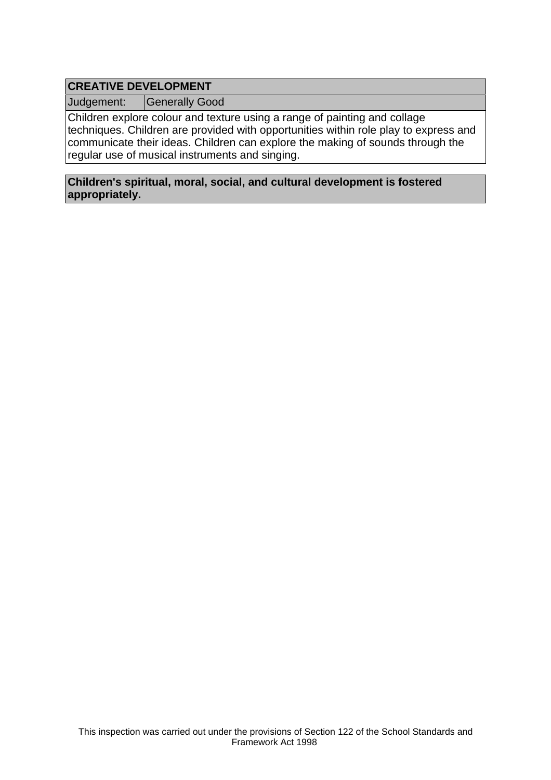## **CREATIVE DEVELOPMENT**

Judgement: | Generally Good

Children explore colour and texture using a range of painting and collage techniques. Children are provided with opportunities within role play to express and communicate their ideas. Children can explore the making of sounds through the regular use of musical instruments and singing.

#### **Children's spiritual, moral, social, and cultural development is fostered appropriately.**